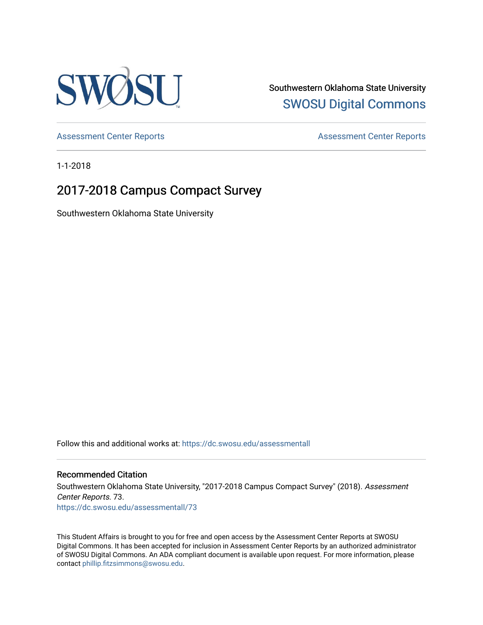

Southwestern Oklahoma State University [SWOSU Digital Commons](https://dc.swosu.edu/) 

[Assessment Center Reports](https://dc.swosu.edu/assessmenthm) **Assessment Center Reports** 

1-1-2018

# 2017-2018 Campus Compact Survey

Southwestern Oklahoma State University

Follow this and additional works at: [https://dc.swosu.edu/assessmentall](https://dc.swosu.edu/assessmentall?utm_source=dc.swosu.edu%2Fassessmentall%2F73&utm_medium=PDF&utm_campaign=PDFCoverPages) 

# Recommended Citation

Southwestern Oklahoma State University, "2017-2018 Campus Compact Survey" (2018). Assessment Center Reports. 73. [https://dc.swosu.edu/assessmentall/73](https://dc.swosu.edu/assessmentall/73?utm_source=dc.swosu.edu%2Fassessmentall%2F73&utm_medium=PDF&utm_campaign=PDFCoverPages) 

This Student Affairs is brought to you for free and open access by the Assessment Center Reports at SWOSU Digital Commons. It has been accepted for inclusion in Assessment Center Reports by an authorized administrator of SWOSU Digital Commons. An ADA compliant document is available upon request. For more information, please contact [phillip.fitzsimmons@swosu.edu.](mailto:phillip.fitzsimmons@swosu.edu)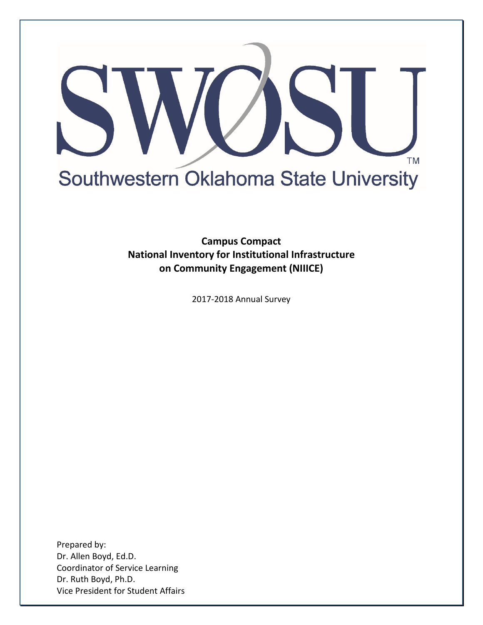

**Campus Compact National Inventory for Institutional Infrastructure on Community Engagement (NIIICE)**

2017-2018 Annual Survey

Prepared by: Dr. Allen Boyd, Ed.D. Coordinator of Service Learning Dr. Ruth Boyd, Ph.D. Vice President for Student Affairs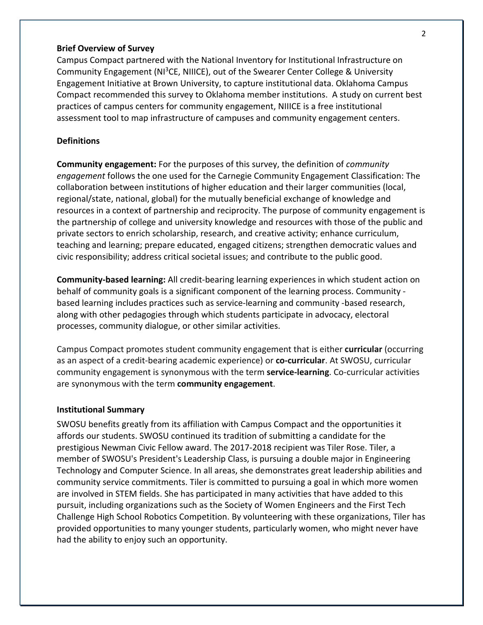### **Brief Overview of Survey**

Campus Compact partnered with the National Inventory for Institutional Infrastructure on Community Engagement (NI<sup>3</sup>CE, NIIICE), out of the Swearer Center College & University Engagement Initiative at Brown University, to capture institutional data. Oklahoma Campus Compact recommended this survey to Oklahoma member institutions. A study on current best practices of campus centers for community engagement, NIIICE is a free institutional assessment tool to map infrastructure of campuses and community engagement centers.

## **Definitions**

**Community engagement:** For the purposes of this survey, the definition of *community engagement* follows the one used for the Carnegie Community Engagement Classification: The collaboration between institutions of higher education and their larger communities (local, regional/state, national, global) for the mutually beneficial exchange of knowledge and resources in a context of partnership and reciprocity. The purpose of community engagement is the partnership of college and university knowledge and resources with those of the public and private sectors to enrich scholarship, research, and creative activity; enhance curriculum, teaching and learning; prepare educated, engaged citizens; strengthen democratic values and civic responsibility; address critical societal issues; and contribute to the public good.

**Community-based learning:** All credit-bearing learning experiences in which student action on behalf of community goals is a significant component of the learning process. Community based learning includes practices such as service-learning and community -based research, along with other pedagogies through which students participate in advocacy, electoral processes, community dialogue, or other similar activities.

Campus Compact promotes student community engagement that is either **curricular** (occurring as an aspect of a credit-bearing academic experience) or **co-curricular**. At SWOSU, curricular community engagement is synonymous with the term **service-learning**. Co-curricular activities are synonymous with the term **community engagement**.

### **Institutional Summary**

SWOSU benefits greatly from its affiliation with Campus Compact and the opportunities it affords our students. SWOSU continued its tradition of submitting a candidate for the prestigious Newman Civic Fellow award. The 2017-2018 recipient was Tiler Rose. Tiler, a member of SWOSU's President's Leadership Class, is pursuing a double major in Engineering Technology and Computer Science. In all areas, she demonstrates great leadership abilities and community service commitments. Tiler is committed to pursuing a goal in which more women are involved in STEM fields. She has participated in many activities that have added to this pursuit, including organizations such as the Society of Women Engineers and the First Tech Challenge High School Robotics Competition. By volunteering with these organizations, Tiler has provided opportunities to many younger students, particularly women, who might never have had the ability to enjoy such an opportunity.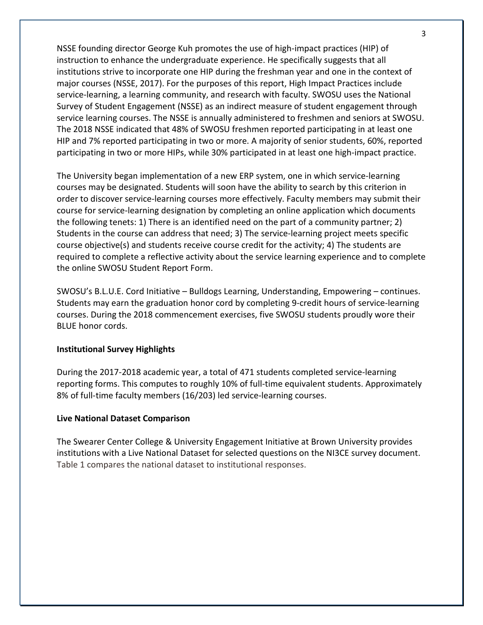NSSE founding director George Kuh promotes the use of high-impact practices (HIP) of instruction to enhance the undergraduate experience. He specifically suggests that all institutions strive to incorporate one HIP during the freshman year and one in the context of major courses (NSSE, 2017). For the purposes of this report, High Impact Practices include service-learning, a learning community, and research with faculty. SWOSU uses the National Survey of Student Engagement (NSSE) as an indirect measure of student engagement through service learning courses. The NSSE is annually administered to freshmen and seniors at SWOSU. The 2018 NSSE indicated that 48% of SWOSU freshmen reported participating in at least one HIP and 7% reported participating in two or more. A majority of senior students, 60%, reported participating in two or more HIPs, while 30% participated in at least one high-impact practice.

The University began implementation of a new ERP system, one in which service-learning courses may be designated. Students will soon have the ability to search by this criterion in order to discover service-learning courses more effectively. Faculty members may submit their course for service-learning designation by completing an online application which documents the following tenets: 1) There is an identified need on the part of a community partner; 2) Students in the course can address that need; 3) The service-learning project meets specific course objective(s) and students receive course credit for the activity; 4) The students are required to complete a reflective activity about the service learning experience and to complete the online SWOSU Student Report Form.

SWOSU's B.L.U.E. Cord Initiative – Bulldogs Learning, Understanding, Empowering – continues. Students may earn the graduation honor cord by completing 9-credit hours of service-learning courses. During the 2018 commencement exercises, five SWOSU students proudly wore their BLUE honor cords.

# **Institutional Survey Highlights**

During the 2017-2018 academic year, a total of 471 students completed service-learning reporting forms. This computes to roughly 10% of full-time equivalent students. Approximately 8% of full-time faculty members (16/203) led service-learning courses.

# **Live National Dataset Comparison**

The Swearer Center College & University Engagement Initiative at Brown University provides institutions with a Live National Dataset for selected questions on the NI3CE survey document. Table 1 compares the national dataset to institutional responses.